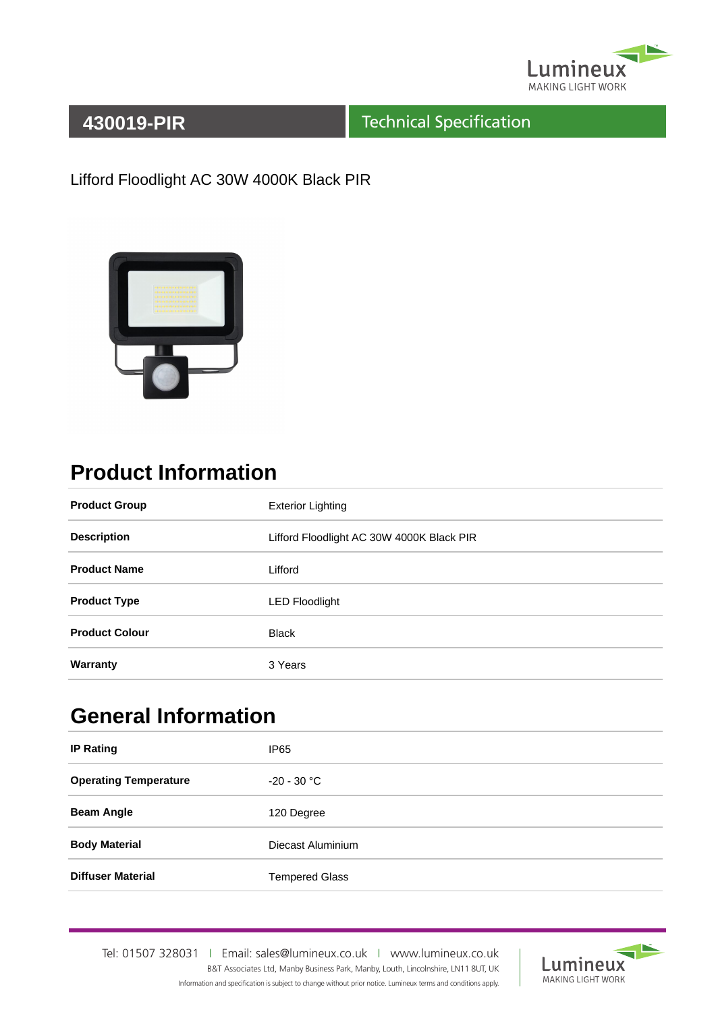

#### Technical Specification

Lifford Floodlight AC 30W 4000K Black PIR



## **Product Information**

| <b>Product Group</b>  | <b>Exterior Lighting</b>                  |
|-----------------------|-------------------------------------------|
| <b>Description</b>    | Lifford Floodlight AC 30W 4000K Black PIR |
| <b>Product Name</b>   | Lifford                                   |
| <b>Product Type</b>   | <b>LED Floodlight</b>                     |
| <b>Product Colour</b> | <b>Black</b>                              |
| Warranty              | 3 Years                                   |

## **General Information**

| <b>IP Rating</b>             | IP <sub>65</sub>      |
|------------------------------|-----------------------|
| <b>Operating Temperature</b> | $-20 - 30 °C$         |
| <b>Beam Angle</b>            | 120 Degree            |
| <b>Body Material</b>         | Diecast Aluminium     |
| <b>Diffuser Material</b>     | <b>Tempered Glass</b> |

Tel: 01507 328031IEmail: sales@lumineux.co.ukIwww.lumineux.co.uk B&T Associates Ltd, Manby Business Park, Manby, Louth, Lincolnshire, LN11 8UT, UK Information and specification is subject to change without prior notice. Lumineux terms and conditions apply.

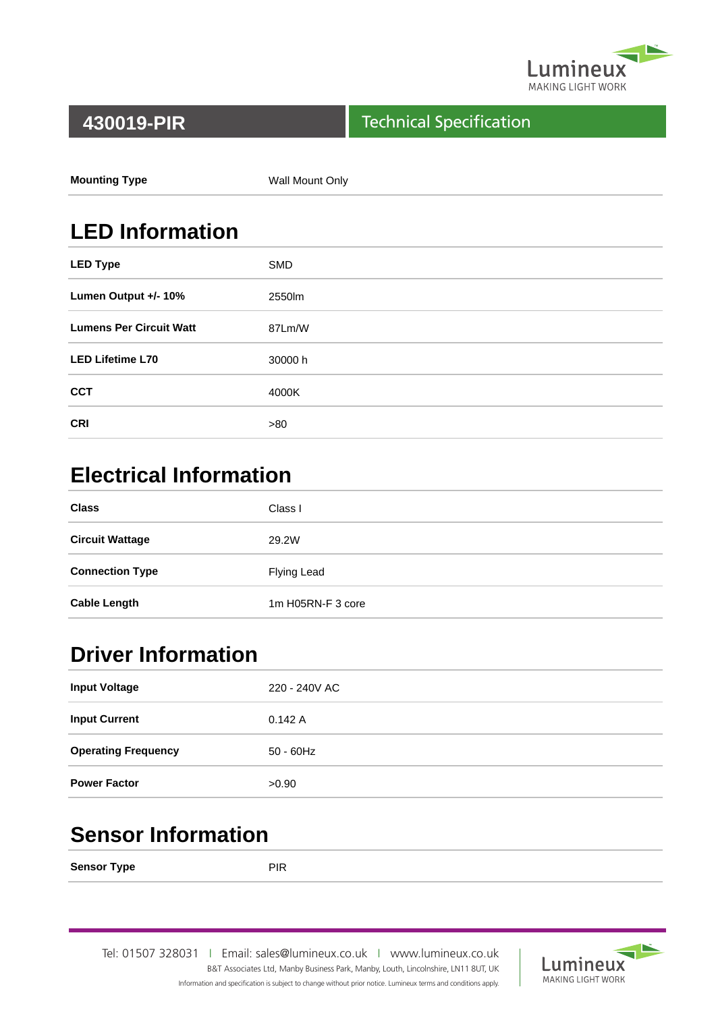

#### Technical Specification

| <b>Mounting Type</b> | Wall Mount Only |
|----------------------|-----------------|
|                      |                 |

## **LED Information**

| <b>LED Type</b>                | <b>SMD</b> |
|--------------------------------|------------|
| Lumen Output +/- 10%           | 2550lm     |
| <b>Lumens Per Circuit Watt</b> | 87Lm/W     |
| <b>LED Lifetime L70</b>        | 30000 h    |
| <b>CCT</b>                     | 4000K      |
| <b>CRI</b>                     | >80        |

## **Electrical Information**

| <b>Class</b>           | Class I           |
|------------------------|-------------------|
| <b>Circuit Wattage</b> | 29.2W             |
| <b>Connection Type</b> | Flying Lead       |
| <b>Cable Length</b>    | 1m H05RN-F 3 core |

## **Driver Information**

| <b>Input Voltage</b>       | 220 - 240V AC |
|----------------------------|---------------|
| <b>Input Current</b>       | 0.142A        |
| <b>Operating Frequency</b> | $50 - 60$ Hz  |
| <b>Power Factor</b>        | >0.90         |

### **Sensor Information**

**Sensor Type** PIR

Tel: 01507 328031IEmail: sales@lumineux.co.ukIwww.lumineux.co.uk B&T Associates Ltd, Manby Business Park, Manby, Louth, Lincolnshire, LN11 8UT, UK Information and specification is subject to change without prior notice. Lumineux terms and conditions apply.

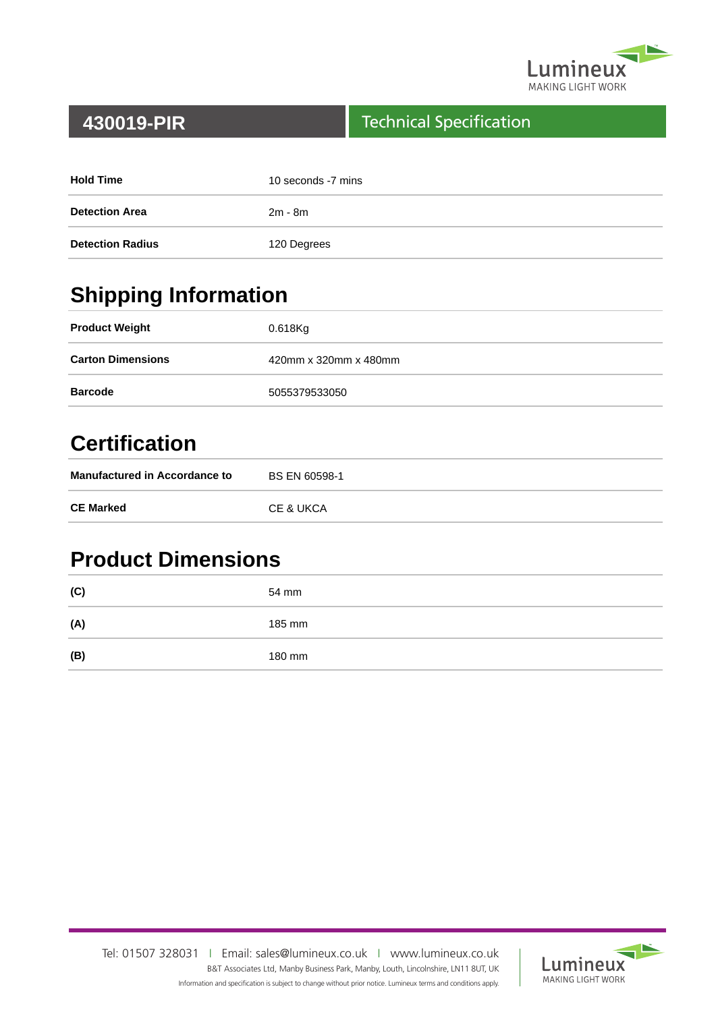

#### Technical Specification

| <b>Hold Time</b>        | 10 seconds -7 mins |
|-------------------------|--------------------|
| <b>Detection Area</b>   | 2m - 8m            |
| <b>Detection Radius</b> | 120 Degrees        |

# **Shipping Information**

| <b>Product Weight</b>    | 0.618Kg               |
|--------------------------|-----------------------|
| <b>Carton Dimensions</b> | 420mm x 320mm x 480mm |
| <b>Barcode</b>           | 5055379533050         |

### **Certification**

| <b>Manufactured in Accordance to</b> | BS EN 60598-1 |
|--------------------------------------|---------------|
| <b>CE Marked</b>                     | CE & UKCA     |

### **Product Dimensions**

| (C) | 54 mm  |
|-----|--------|
| (A) | 185 mm |
| (B) | 180 mm |